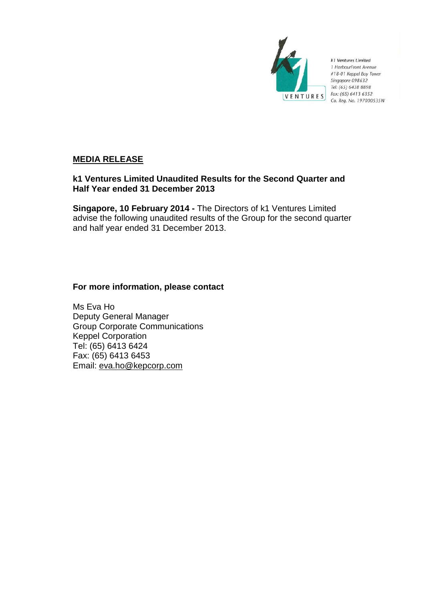

k1 Ventures Limited 1 HarbourFront Avenue #18-01 Keppel Bay Tower Singapore 098632 Tel: (65) 6438 8898 Fax: (65) 6413 6352 Co. Reg. No. 197000535W

# **MEDIA RELEASE**

# **k1 Ventures Limited Unaudited Results for the Second Quarter and Half Year ended 31 December 2013**

**Singapore, 10 February 2014 -** The Directors of k1 Ventures Limited advise the following unaudited results of the Group for the second quarter and half year ended 31 December 2013.

## **For more information, please contact**

Ms Eva Ho Deputy General Manager Group Corporate Communications Keppel Corporation Tel: (65) 6413 6424 Fax: (65) 6413 6453 Email: eva.ho@kepcorp.com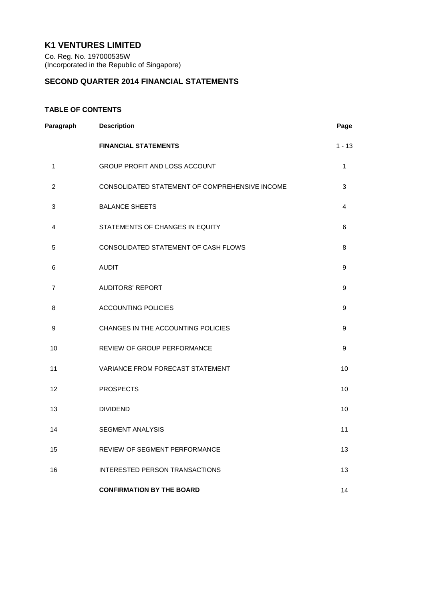# **K1 VENTURES LIMITED**

Co. Reg. No. 197000535W (Incorporated in the Republic of Singapore)

## **SECOND QUARTER 2014 FINANCIAL STATEMENTS**

## **TABLE OF CONTENTS**

| Paragraph      | <b>Description</b>                             | Page     |
|----------------|------------------------------------------------|----------|
|                | <b>FINANCIAL STATEMENTS</b>                    | $1 - 13$ |
| 1              | GROUP PROFIT AND LOSS ACCOUNT                  | 1        |
| $\overline{c}$ | CONSOLIDATED STATEMENT OF COMPREHENSIVE INCOME | 3        |
| 3              | <b>BALANCE SHEETS</b>                          | 4        |
| 4              | STATEMENTS OF CHANGES IN EQUITY                | 6        |
| 5              | CONSOLIDATED STATEMENT OF CASH FLOWS           | 8        |
| 6              | <b>AUDIT</b>                                   | 9        |
| $\overline{7}$ | <b>AUDITORS' REPORT</b>                        | 9        |
| 8              | <b>ACCOUNTING POLICIES</b>                     | 9        |
| 9              | CHANGES IN THE ACCOUNTING POLICIES             | 9        |
| 10             | REVIEW OF GROUP PERFORMANCE                    | 9        |
| 11             | VARIANCE FROM FORECAST STATEMENT               | 10       |
| 12             | <b>PROSPECTS</b>                               | 10       |
| 13             | <b>DIVIDEND</b>                                | 10       |
| 14             | <b>SEGMENT ANALYSIS</b>                        | 11       |
| 15             | REVIEW OF SEGMENT PERFORMANCE                  | 13       |
| 16             | INTERESTED PERSON TRANSACTIONS                 | 13       |
|                | <b>CONFIRMATION BY THE BOARD</b>               | 14       |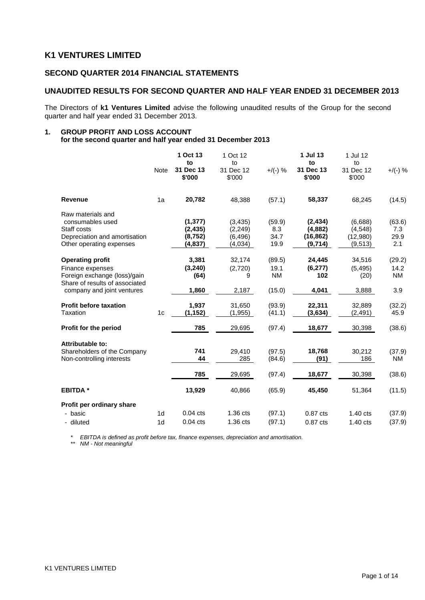## **K1 VENTURES LIMITED**

## **SECOND QUARTER 2014 FINANCIAL STATEMENTS**

## **UNAUDITED RESULTS FOR SECOND QUARTER AND HALF YEAR ENDED 31 DECEMBER 2013**

The Directors of **k1 Ventures Limited** advise the following unaudited results of the Group for the second quarter and half year ended 31 December 2013.

#### **1. GROUP PROFIT AND LOSS ACCOUNT for the second quarter and half year ended 31 December 2013**

|                                                                                                                                             | Note                             | 1 Oct 13<br>to<br>31 Dec 13<br>\$'000       | 1 Oct 12<br>to<br>31 Dec 12<br>\$'000      | $+$ /(-) %                            | 1 Jul 13<br>to<br>31 Dec 13<br>\$'000       | 1 Jul 12<br>to<br>31 Dec 12<br>\$'000      | $+$ /(-) %                         |
|---------------------------------------------------------------------------------------------------------------------------------------------|----------------------------------|---------------------------------------------|--------------------------------------------|---------------------------------------|---------------------------------------------|--------------------------------------------|------------------------------------|
| <b>Revenue</b>                                                                                                                              | 1a                               | 20,782                                      | 48,388                                     | (57.1)                                | 58,337                                      | 68,245                                     | (14.5)                             |
| Raw materials and<br>consumables used<br>Staff costs<br>Depreciation and amortisation<br>Other operating expenses                           |                                  | (1, 377)<br>(2, 435)<br>(8, 752)<br>(4,837) | (3, 435)<br>(2,249)<br>(6, 496)<br>(4,034) | (59.9)<br>8.3<br>34.7<br>19.9         | (2, 434)<br>(4,882)<br>(16, 862)<br>(9,714) | (6,688)<br>(4, 548)<br>(12,980)<br>(9,513) | (63.6)<br>7.3<br>29.9<br>2.1       |
| <b>Operating profit</b><br>Finance expenses<br>Foreign exchange (loss)/gain<br>Share of results of associated<br>company and joint ventures |                                  | 3,381<br>(3, 240)<br>(64)<br>1,860          | 32,174<br>(2,720)<br>9<br>2,187            | (89.5)<br>19.1<br><b>NM</b><br>(15.0) | 24,445<br>(6, 277)<br>102<br>4,041          | 34,516<br>(5, 495)<br>(20)<br>3,888        | (29.2)<br>14.2<br><b>NM</b><br>3.9 |
| <b>Profit before taxation</b><br>Taxation                                                                                                   | 1c                               | 1,937<br>(1, 152)                           | 31,650<br>(1, 955)                         | (93.9)<br>(41.1)                      | 22,311<br>(3,634)                           | 32,889<br>(2, 491)                         | (32.2)<br>45.9                     |
| Profit for the period                                                                                                                       |                                  | 785                                         | 29,695                                     | (97.4)                                | 18,677                                      | 30,398                                     | (38.6)                             |
| Attributable to:<br>Shareholders of the Company<br>Non-controlling interests                                                                |                                  | 741<br>44<br>785                            | 29,410<br>285                              | (97.5)<br>(84.6)                      | 18,768<br>(91)                              | 30,212<br>186                              | (37.9)<br>NM                       |
|                                                                                                                                             |                                  |                                             | 29,695                                     | (97.4)                                | 18,677                                      | 30,398                                     | (38.6)                             |
| <b>EBITDA*</b>                                                                                                                              |                                  | 13,929                                      | 40,866                                     | (65.9)                                | 45,450                                      | 51,364                                     | (11.5)                             |
| Profit per ordinary share<br>- basic<br>- diluted                                                                                           | 1 <sub>d</sub><br>1 <sub>d</sub> | $0.04$ cts<br>$0.04$ cts                    | 1.36 cts<br>1.36 cts                       | (97.1)<br>(97.1)                      | $0.87$ cts<br>0.87 cts                      | $1.40 \text{ cts}$<br>1.40 cts             | (37.9)<br>(37.9)                   |

*\* EBITDA is defined as profit before tax, finance expenses, depreciation and amortisation.*

*\*\* NM - Not meaningful*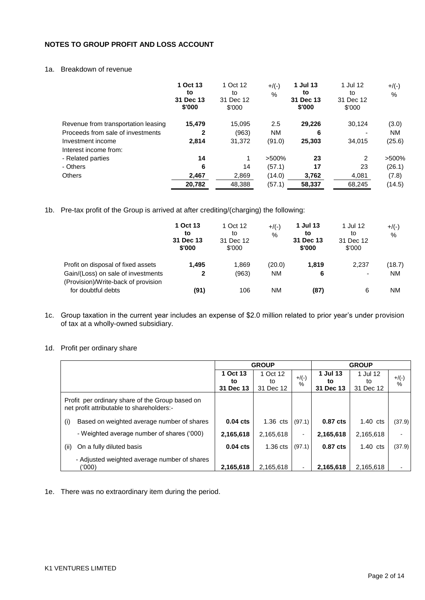## **NOTES TO GROUP PROFIT AND LOSS ACCOUNT**

## 1a. Breakdown of revenue

|                                     | 1 Oct 13<br>to<br>31 Dec 13<br>\$'000 | 1 Oct 12<br>to<br>31 Dec 12<br>\$'000 | $+$ /(-)<br>$\%$ | 1 Jul 13<br>to<br>31 Dec 13<br>\$'000 | 1 Jul 12<br>to<br>31 Dec 12<br>\$'000 | $+$ /(-)<br>% |
|-------------------------------------|---------------------------------------|---------------------------------------|------------------|---------------------------------------|---------------------------------------|---------------|
| Revenue from transportation leasing | 15,479                                | 15,095                                | 2.5              | 29,226                                | 30,124                                | (3.0)         |
| Proceeds from sale of investments   | 2                                     | (963)                                 | ΝM               | 6                                     | -                                     | ΝM            |
| Investment income                   | 2.814                                 | 31,372                                | (91.0)           | 25,303                                | 34,015                                | (25.6)        |
| Interest income from:               |                                       |                                       |                  |                                       |                                       |               |
| - Related parties                   | 14                                    |                                       | $>500\%$         | 23                                    | 2                                     | >500%         |
| - Others                            | 6                                     | 14                                    | (57.1)           | 17                                    | 23                                    | (26.1)        |
| <b>Others</b>                       | 2.467                                 | 2,869                                 | (14.0)           | 3.762                                 | 4,081                                 | (7.8)         |
|                                     | 20,782                                | 48.388                                | (57.1)           | 58,337                                | 68.245                                | (14.5)        |

1b. Pre-tax profit of the Group is arrived at after crediting/(charging) the following:

|                                                                           | 1 Oct 13<br>to<br>31 Dec 13<br>\$'000 | 1 Oct 12<br>to<br>31 Dec 12<br>\$'000 | $+$ /(-)<br>% | 1 Jul 13<br>to<br>31 Dec 13<br>\$'000 | 1 Jul 12<br>to<br>31 Dec 12<br>\$'000 | $+$ /(-)<br>% |
|---------------------------------------------------------------------------|---------------------------------------|---------------------------------------|---------------|---------------------------------------|---------------------------------------|---------------|
| Profit on disposal of fixed assets                                        | 1,495                                 | 1.869                                 | (20.0)        | 1,819                                 | 2,237                                 | (18.7)        |
| Gain/(Loss) on sale of investments<br>(Provision)/Write-back of provision | 2                                     | (963)                                 | ΝM            | 6                                     | $\overline{\phantom{a}}$              | <b>NM</b>     |
| for doubtful debts                                                        | (91)                                  | 106                                   | ΝM            | (87)                                  | 6                                     | <b>NM</b>     |

- 1c. Group taxation in the current year includes an expense of \$2.0 million related to prior year's under provision of tax at a wholly-owned subsidiary.
- 1d. Profit per ordinary share

|                                                                                              | <b>GROUP</b> |            |          | <b>GROUP</b> |            |         |
|----------------------------------------------------------------------------------------------|--------------|------------|----------|--------------|------------|---------|
|                                                                                              | 1 Oct 13     | 1 Oct 12   | $+$ /(-) | 1 Jul 13     | 1 Jul 12   | $+/(-)$ |
|                                                                                              | to           | to         | $\%$     | to           | to         | $\%$    |
|                                                                                              | 31 Dec 13    | 31 Dec 12  |          | 31 Dec 13    | 31 Dec 12  |         |
| Profit per ordinary share of the Group based on<br>net profit attributable to shareholders:- |              |            |          |              |            |         |
| Based on weighted average number of shares<br>(i)                                            | $0.04$ cts   | $1.36$ cts | (97.1)   | 0.87 cts     | $1.40$ cts | (37.9)  |
| - Weighted average number of shares ('000)                                                   | 2,165,618    | 2,165,618  | $\sim$   | 2,165,618    | 2,165,618  |         |
| On a fully diluted basis<br>(ii)                                                             | $0.04$ cts   | $1.36$ cts | (97.1)   | 0.87 cts     | $1.40$ cts | (37.9)  |
| - Adjusted weighted average number of shares<br>(000)                                        | 2,165,618    | 2.165.618  |          | 2.165.618    | 2.165.618  |         |

1e. There was no extraordinary item during the period.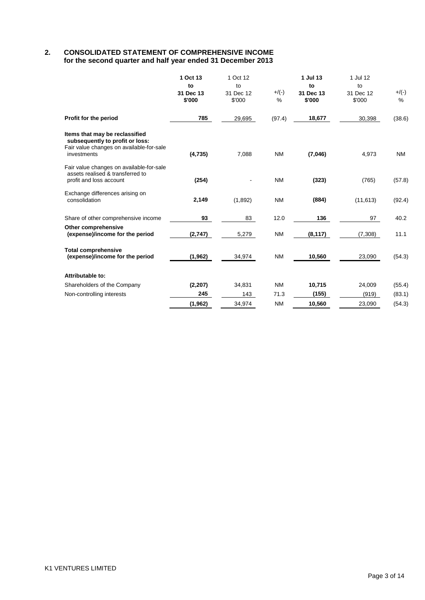## **2. CONSOLIDATED STATEMENT OF COMPREHENSIVE INCOME for the second quarter and half year ended 31 December 2013**

|                                                                                                                              | 1 Oct 13<br>to<br>31 Dec 13<br>\$'000 | 1 Oct 12<br>to<br>31 Dec 12<br>\$'000 | $+$ /(-)<br>% | 1 Jul 13<br>to<br>31 Dec 13<br>\$'000 | 1 Jul 12<br>to<br>31 Dec 12<br>\$'000 | $+/(-)$<br>$\%$ |
|------------------------------------------------------------------------------------------------------------------------------|---------------------------------------|---------------------------------------|---------------|---------------------------------------|---------------------------------------|-----------------|
| Profit for the period                                                                                                        | 785                                   | 29,695                                | (97.4)        | 18,677                                | 30,398                                | (38.6)          |
| Items that may be reclassified<br>subsequently to profit or loss:<br>Fair value changes on available-for-sale<br>investments | (4,735)                               | 7,088                                 | <b>NM</b>     | (7,046)                               | 4,973                                 | <b>NM</b>       |
| Fair value changes on available-for-sale<br>assets realised & transferred to<br>profit and loss account                      | (254)                                 |                                       | <b>NM</b>     | (323)                                 | (765)                                 | (57.8)          |
| Exchange differences arising on<br>consolidation                                                                             | 2,149                                 | (1,892)                               | <b>NM</b>     | (884)                                 | (11, 613)                             | (92.4)          |
| Share of other comprehensive income                                                                                          | 93                                    | 83                                    | 12.0          | 136                                   | 97                                    | 40.2            |
| <b>Other comprehensive</b><br>(expense)/income for the period                                                                | (2,747)                               | 5,279                                 | <b>NM</b>     | (8, 117)                              | (7,308)                               | 11.1            |
| <b>Total comprehensive</b><br>(expense)/income for the period                                                                | (1, 962)                              | 34,974                                | <b>NM</b>     | 10,560                                | 23,090                                | (54.3)          |
| Attributable to:                                                                                                             |                                       |                                       |               |                                       |                                       |                 |
| Shareholders of the Company                                                                                                  | (2, 207)                              | 34,831                                | <b>NM</b>     | 10,715                                | 24,009                                | (55.4)          |
| Non-controlling interests                                                                                                    | 245                                   | 143                                   | 71.3          | (155)                                 | (919)                                 | (83.1)          |
|                                                                                                                              | (1, 962)                              | 34,974                                | <b>NM</b>     | 10,560                                | 23,090                                | (54.3)          |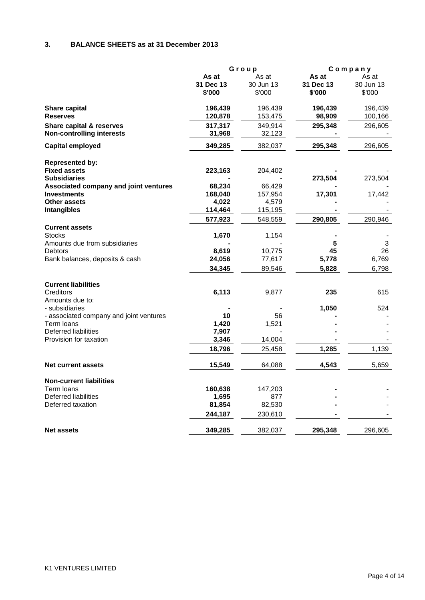## **3. BALANCE SHEETS as at 31 December 2013**

|                                                       | Group     |           | Company   |           |
|-------------------------------------------------------|-----------|-----------|-----------|-----------|
|                                                       | As at     | As at     | As at     | As at     |
|                                                       | 31 Dec 13 | 30 Jun 13 | 31 Dec 13 | 30 Jun 13 |
|                                                       | \$'000    | \$'000    | \$'000    | \$'000    |
| <b>Share capital</b>                                  | 196,439   | 196,439   | 196,439   | 196,439   |
| <b>Reserves</b>                                       | 120,878   | 153,475   | 98,909    | 100,166   |
| Share capital & reserves                              | 317,317   | 349,914   | 295,348   | 296,605   |
| <b>Non-controlling interests</b>                      | 31,968    | 32,123    |           |           |
| <b>Capital employed</b>                               | 349,285   | 382,037   | 295,348   | 296,605   |
|                                                       |           |           |           |           |
| <b>Represented by:</b>                                |           |           |           |           |
| <b>Fixed assets</b>                                   | 223,163   | 204,402   |           |           |
| <b>Subsidiaries</b>                                   |           |           | 273,504   | 273,504   |
| Associated company and joint ventures                 | 68,234    | 66,429    |           |           |
| <b>Investments</b>                                    | 168,040   | 157,954   | 17,301    | 17,442    |
| <b>Other assets</b>                                   | 4,022     | 4,579     |           |           |
| <b>Intangibles</b>                                    | 114,464   | 115,195   |           |           |
|                                                       | 577,923   | 548,559   | 290,805   | 290,946   |
| <b>Current assets</b>                                 |           |           |           |           |
| <b>Stocks</b>                                         | 1,670     | 1,154     |           |           |
| Amounts due from subsidiaries                         |           |           | 5         | 3         |
| Debtors                                               | 8,619     | 10,775    | 45        | 26        |
| Bank balances, deposits & cash                        | 24,056    | 77,617    | 5,778     | 6,769     |
|                                                       | 34,345    | 89.546    | 5,828     | 6,798     |
| <b>Current liabilities</b>                            |           |           |           |           |
| Creditors                                             | 6,113     | 9,877     | 235       | 615       |
| Amounts due to:                                       |           |           |           |           |
| - subsidiaries                                        |           |           | 1,050     | 524       |
|                                                       | 10        | 56        |           |           |
| - associated company and joint ventures<br>Term loans | 1,420     | 1,521     |           |           |
| Deferred liabilities                                  | 7,907     |           |           |           |
| Provision for taxation                                | 3,346     | 14,004    |           |           |
|                                                       |           |           |           |           |
|                                                       | 18,796    | 25,458    | 1,285     | 1,139     |
| <b>Net current assets</b>                             | 15,549    | 64,088    | 4,543     | 5,659     |
| <b>Non-current liabilities</b>                        |           |           |           |           |
| Term loans                                            | 160,638   | 147,203   |           |           |
| Deferred liabilities                                  | 1,695     | 877       |           |           |
| Deferred taxation                                     | 81,854    | 82,530    |           |           |
|                                                       | 244,187   | 230,610   |           |           |
|                                                       |           |           |           |           |
| <b>Net assets</b>                                     | 349,285   | 382,037   | 295,348   | 296,605   |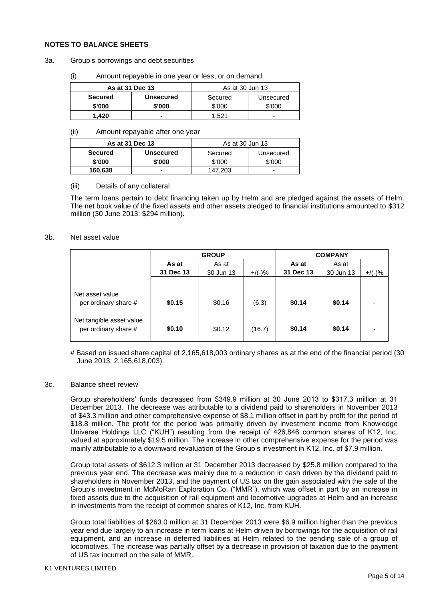### **NOTES TO BALANCE SHEETS**

- 3a. Group's borrowings and debt securities
	- (i) Amount repayable in one year or less, or on demand

| As at 31 Dec 13 |                  | As at 30 Jun 13 |           |  |
|-----------------|------------------|-----------------|-----------|--|
| <b>Secured</b>  | <b>Unsecured</b> | Secured         | Unsecured |  |
| \$'000          | \$'000           | \$'000          | \$'000    |  |
| 1.420           | -                | .521            | -         |  |

#### (ii) Amount repayable after one year

|                | As at 31 Dec 13  | As at 30 Jun 13 |           |  |
|----------------|------------------|-----------------|-----------|--|
| <b>Secured</b> | <b>Unsecured</b> | Secured         | Unsecured |  |
| \$'000         | \$'000           | \$'000          | \$'000    |  |
| 160,638        | -                | 147.203         | -         |  |

### (iii) Details of any collateral

The term loans pertain to debt financing taken up by Helm and are pledged against the assets of Helm. The net book value of the fixed assets and other assets pledged to financial institutions amounted to \$312 million (30 June 2013: \$294 million).

### 3b. Net asset value

|                                                  | <b>GROUP</b> |           |           | <b>COMPANY</b> |           |           |
|--------------------------------------------------|--------------|-----------|-----------|----------------|-----------|-----------|
|                                                  | As at        | As at     |           | As at          | As at     |           |
|                                                  | 31 Dec 13    | 30 Jun 13 | $+$ /(-)% | 31 Dec 13      | 30 Jun 13 | $+$ /(-)% |
|                                                  |              |           |           |                |           |           |
| Net asset value<br>per ordinary share #          | \$0.15       | \$0.16    | (6.3)     | \$0.14         | \$0.14    |           |
| Net tangible asset value<br>per ordinary share # | \$0.10       | \$0.12    | (16.7)    | \$0.14         | \$0.14    |           |

# Based on issued share capital of 2,165,618,003 ordinary shares as at the end of the financial period (30 June 2013: 2,165,618,003).

### 3c. Balance sheet review

Group shareholders' funds decreased from \$349.9 million at 30 June 2013 to \$317.3 million at 31 December 2013. The decrease was attributable to a dividend paid to shareholders in November 2013 of \$43.3 million and other comprehensive expense of \$8.1 million offset in part by profit for the period of \$18.8 million. The profit for the period was primarily driven by investment income from Knowledge Universe Holdings LLC ("KUH") resulting from the receipt of 426,846 common shares of K12, Inc. valued at approximately \$19.5 million. The increase in other comprehensive expense for the period was mainly attributable to a downward revaluation of the Group's investment in K12, Inc. of \$7.9 million.

Group total assets of \$612.3 million at 31 December 2013 decreased by \$25.8 million compared to the previous year end. The decrease was mainly due to a reduction in cash driven by the dividend paid to shareholders in November 2013, and the payment of US tax on the gain associated with the sale of the Group's investment in McMoRan Exploration Co. ("MMR"), which was offset in part by an increase in fixed assets due to the acquisition of rail equipment and locomotive upgrades at Helm and an increase in investments from the receipt of common shares of K12, Inc. from KUH.

Group total liabilities of \$263.0 million at 31 December 2013 were \$6.9 million higher than the previous year end due largely to an increase in term loans at Helm driven by borrowings for the acquisition of rail equipment, and an increase in deferred liabilities at Helm related to the pending sale of a group of locomotives. The increase was partially offset by a decrease in provision of taxation due to the payment of US tax incurred on the sale of MMR.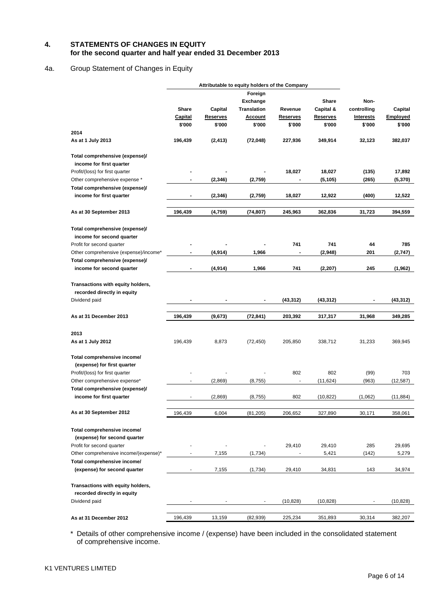### **4. STATEMENTS OF CHANGES IN EQUITY for the second quarter and half year ended 31 December 2013**

## 4a. Group Statement of Changes in Equity

|                                       |                          |                 | Attributable to equity holders of the Company |                          |                 |                  |           |
|---------------------------------------|--------------------------|-----------------|-----------------------------------------------|--------------------------|-----------------|------------------|-----------|
|                                       |                          |                 | Foreign                                       |                          |                 |                  |           |
|                                       |                          |                 | <b>Exchange</b>                               |                          | Share           | Non-             |           |
|                                       | Share                    | Capital         | <b>Translation</b>                            | Revenue                  | Capital &       | controlling      | Capital   |
|                                       | <u>Capital</u>           | <b>Reserves</b> | <b>Account</b>                                | <u>Reserves</u>          | <b>Reserves</b> | <b>Interests</b> | Employed  |
|                                       | \$'000                   | \$'000          | \$'000                                        | \$'000                   | \$'000          | \$'000           | \$'000    |
| 2014                                  |                          |                 |                                               |                          |                 |                  |           |
| As at 1 July 2013                     | 196,439                  | (2, 413)        | (72, 048)                                     | 227,936                  | 349,914         | 32,123           | 382,037   |
| Total comprehensive (expense)/        |                          |                 |                                               |                          |                 |                  |           |
| income for first quarter              |                          |                 |                                               |                          |                 |                  |           |
| Profit/(loss) for first quarter       |                          |                 |                                               | 18,027                   | 18,027          | (135)            | 17,892    |
| Other comprehensive expense *         | $\blacksquare$           | (2,346)         | (2,759)                                       | $\blacksquare$           | (5, 105)        | (265)            | (5,370)   |
| Total comprehensive (expense)/        |                          |                 |                                               |                          |                 |                  |           |
| income for first quarter              |                          | (2, 346)        | (2,759)                                       | 18,027                   | 12,922          | (400)            | 12,522    |
| As at 30 September 2013               | 196,439                  | (4,759)         | (74, 807)                                     | 245,963                  | 362,836         | 31,723           | 394,559   |
|                                       |                          |                 |                                               |                          |                 |                  |           |
| Total comprehensive (expense)/        |                          |                 |                                               |                          |                 |                  |           |
| income for second quarter             |                          |                 |                                               |                          |                 |                  |           |
| Profit for second quarter             |                          |                 |                                               | 741                      | 741             | 44               | 785       |
| Other comprehensive (expense)/income* | $\blacksquare$           | (4,914)         | 1,966                                         | $\blacksquare$           | (2,948)         | 201              | (2,747)   |
| Total comprehensive (expense)/        |                          |                 |                                               |                          |                 |                  |           |
| income for second quarter             | ٠                        | (4,914)         | 1,966                                         | 741                      | (2, 207)        | 245              | (1,962)   |
| Transactions with equity holders,     |                          |                 |                                               |                          |                 |                  |           |
| recorded directly in equity           |                          |                 |                                               |                          |                 |                  |           |
|                                       |                          |                 |                                               |                          |                 |                  |           |
| Dividend paid                         |                          |                 |                                               | (43, 312)                | (43, 312)       |                  | (43,312)  |
| As at 31 December 2013                | 196,439                  | (9,673)         | (72, 841)                                     | 203,392                  | 317,317         | 31,968           | 349,285   |
|                                       |                          |                 |                                               |                          |                 |                  |           |
| 2013                                  |                          |                 |                                               |                          |                 |                  |           |
| As at 1 July 2012                     | 196,439                  | 8,873           | (72, 450)                                     | 205,850                  | 338,712         | 31,233           | 369,945   |
| Total comprehensive income/           |                          |                 |                                               |                          |                 |                  |           |
| (expense) for first quarter           |                          |                 |                                               |                          |                 |                  |           |
| Profit/(loss) for first quarter       |                          |                 |                                               | 802                      | 802             | (99)             | 703       |
| Other comprehensive expense*          | $\overline{\phantom{a}}$ | (2,869)         | (8, 755)                                      | $\blacksquare$           | (11, 624)       | (963)            | (12, 587) |
| Total comprehensive (expense)/        |                          |                 |                                               |                          |                 |                  |           |
| income for first quarter              |                          | (2,869)         | (8, 755)                                      | 802                      | (10, 822)       | (1,062)          | (11, 884) |
| As at 30 September 2012               | 196,439                  | 6,004           | (81, 205)                                     | 206,652                  | 327,890         | 30,171           | 358,061   |
|                                       |                          |                 |                                               |                          |                 |                  |           |
| Total comprehensive income/           |                          |                 |                                               |                          |                 |                  |           |
| (expense) for second quarter          |                          |                 |                                               |                          |                 |                  |           |
| Profit for second quarter             |                          |                 |                                               | 29,410                   | 29,410          | 285              | 29,695    |
| Other comprehensive income/(expense)* |                          | 7,155           | (1,734)                                       | $\overline{\phantom{a}}$ | 5,421           | (142)            | 5,279     |
| Total comprehensive income/           |                          |                 |                                               |                          |                 |                  |           |
| (expense) for second quarter          |                          | 7,155           | (1,734)                                       | 29,410                   | 34,831          | 143              | 34,974    |
|                                       |                          |                 |                                               |                          |                 |                  |           |
| Transactions with equity holders,     |                          |                 |                                               |                          |                 |                  |           |
| recorded directly in equity           |                          |                 |                                               |                          |                 |                  |           |
| Dividend paid                         |                          |                 |                                               | (10, 828)                | (10, 828)       |                  | (10, 828) |
| As at 31 December 2012                | 196,439                  | 13,159          | (82, 939)                                     | 225,234                  | 351,893         | 30,314           | 382,207   |

\* Details of other comprehensive income / (expense) have been included in the consolidated statement of comprehensive income.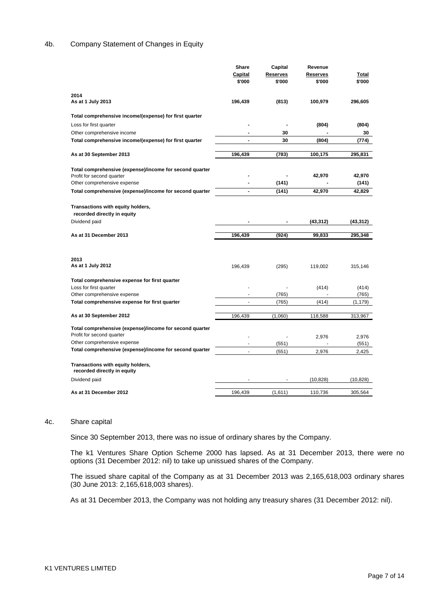### 4b. Company Statement of Changes in Equity

|                                                                  | <b>Share</b>   | Capital  | Revenue   |           |
|------------------------------------------------------------------|----------------|----------|-----------|-----------|
|                                                                  | Capital        | Reserves | Reserves  | Total     |
|                                                                  | \$'000         | \$'000   | \$'000    | \$'000    |
| 2014                                                             |                |          |           |           |
| As at 1 July 2013                                                | 196,439        | (813)    | 100,979   | 296,605   |
| Total comprehensive income/(expense) for first quarter           |                |          |           |           |
| Loss for first quarter                                           |                | Ĭ.       | (804)     | (804)     |
| Other comprehensive income                                       |                | 30       |           | 30        |
| Total comprehensive income/(expense) for first quarter           | ٠              | 30       | (804)     | (774)     |
|                                                                  |                |          |           |           |
| As at 30 September 2013                                          | 196,439        | (783)    | 100,175   | 295,831   |
| Total comprehensive (expense)/income for second quarter          |                |          |           |           |
| Profit for second quarter                                        |                |          | 42,970    | 42,970    |
| Other comprehensive expense                                      | $\overline{a}$ | (141)    |           | (141)     |
| Total comprehensive (expense)/income for second quarter          | $\blacksquare$ | (141)    | 42,970    | 42,829    |
|                                                                  |                |          |           |           |
| Transactions with equity holders,                                |                |          |           |           |
| recorded directly in equity                                      |                |          |           |           |
| Dividend paid                                                    |                |          | (43, 312) | (43, 312) |
| As at 31 December 2013                                           | 196,439        | (924)    | 99,833    | 295,348   |
|                                                                  |                |          |           |           |
|                                                                  |                |          |           |           |
| 2013                                                             |                |          |           |           |
| As at 1 July 2012                                                | 196,439        | (295)    | 119,002   | 315,146   |
| Total comprehensive expense for first quarter                    |                |          |           |           |
| Loss for first quarter                                           |                |          | (414)     | (414)     |
| Other comprehensive expense                                      |                | (765)    |           | (765)     |
| Total comprehensive expense for first quarter                    | ٠              | (765)    | (414)     | (1, 179)  |
|                                                                  |                |          |           |           |
| As at 30 September 2012                                          | 196,439        | (1,060)  | 118,588   | 313,967   |
| Total comprehensive (expense)/income for second quarter          |                |          |           |           |
|                                                                  |                |          |           |           |
| Profit for second quarter                                        |                |          | 2,976     | 2,976     |
| Other comprehensive expense                                      |                | (551)    |           | (551)     |
| Total comprehensive (expense)/income for second quarter          | $\blacksquare$ | (551)    | 2,976     | 2,425     |
| Transactions with equity holders,<br>recorded directly in equity |                |          |           |           |
| Dividend paid                                                    |                |          | (10, 828) | (10, 828) |
| As at 31 December 2012                                           | 196,439        | (1,611)  | 110,736   | 305,564   |

#### 4c. Share capital

Since 30 September 2013, there was no issue of ordinary shares by the Company.

The k1 Ventures Share Option Scheme 2000 has lapsed. As at 31 December 2013, there were no options (31 December 2012: nil) to take up unissued shares of the Company.

The issued share capital of the Company as at 31 December 2013 was 2,165,618,003 ordinary shares (30 June 2013: 2,165,618,003 shares).

As at 31 December 2013, the Company was not holding any treasury shares (31 December 2012: nil).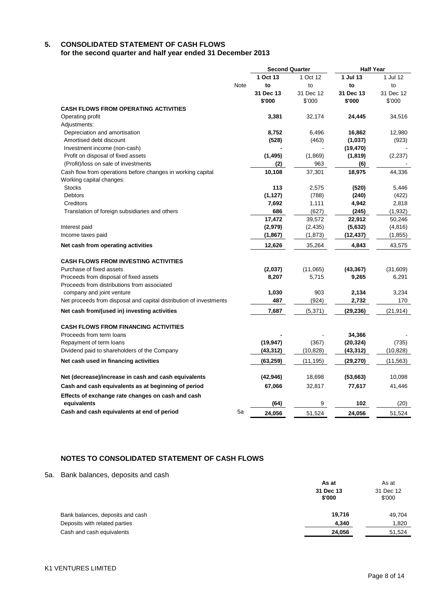## **5. CONSOLIDATED STATEMENT OF CASH FLOWS**

**for the second quarter and half year ended 31 December 2013**

|                                                                    |             | <b>Second Quarter</b> |           | <b>Half Year</b> |           |
|--------------------------------------------------------------------|-------------|-----------------------|-----------|------------------|-----------|
|                                                                    |             | 1 Oct 13              | 1 Oct 12  | 1 Jul 13         | 1 Jul 12  |
|                                                                    | <b>Note</b> | to                    | to        | to               | to        |
|                                                                    |             | 31 Dec 13             | 31 Dec 12 | 31 Dec 13        | 31 Dec 12 |
|                                                                    |             | \$'000                | \$'000    | \$'000           | \$'000    |
| <b>CASH FLOWS FROM OPERATING ACTIVITIES</b>                        |             |                       |           |                  |           |
| Operating profit                                                   |             | 3,381                 | 32,174    | 24,445           | 34,516    |
| Adjustments:                                                       |             |                       |           |                  |           |
| Depreciation and amortisation                                      |             | 8,752                 | 6,496     | 16,862           | 12,980    |
| Amortised debt discount                                            |             | (528)                 | (463)     | (1,037)          | (923)     |
| Investment income (non-cash)                                       |             |                       |           | (19, 470)        |           |
| Profit on disposal of fixed assets                                 |             | (1, 495)              | (1,869)   | (1,819)          | (2, 237)  |
| (Profit)/loss on sale of investments                               |             | (2)                   | 963       | (6)              |           |
| Cash flow from operations before changes in working capital        |             | 10,108                | 37,301    | 18,975           | 44,336    |
| Working capital changes:                                           |             |                       |           |                  |           |
| <b>Stocks</b>                                                      |             | 113                   | 2,575     | (520)            | 5,446     |
| <b>Debtors</b>                                                     |             | (1, 127)              | (788)     | (240)            | (422)     |
| Creditors                                                          |             | 7,692                 | 1,111     | 4,942            | 2,818     |
| Translation of foreign subsidiaries and others                     |             | 686                   | (627)     | (245)            | (1, 932)  |
|                                                                    |             | 17,472                | 39,572    | 22,912           | 50,246    |
| Interest paid                                                      |             | (2,979)               | (2, 435)  | (5,632)          | (4, 816)  |
| Income taxes paid                                                  |             | (1, 867)              | (1, 873)  | (12, 437)        | (1, 855)  |
| Net cash from operating activities                                 |             | 12,626                | 35,264    | 4,843            | 43,575    |
| <b>CASH FLOWS FROM INVESTING ACTIVITIES</b>                        |             |                       |           |                  |           |
| Purchase of fixed assets                                           |             | (2,037)               | (11,065)  | (43, 367)        | (31,609)  |
| Proceeds from disposal of fixed assets                             |             | 8,207                 | 5,715     | 9,265            | 6,291     |
| Proceeds from distributions from associated                        |             |                       |           |                  |           |
| company and joint venture                                          |             | 1,030                 | 903       | 2,134            | 3,234     |
| Net proceeds from disposal and capital distribution of investments |             | 487                   | (924)     | 2,732            | 170       |
| Net cash from/(used in) investing activities                       |             | 7,687                 | (5,371)   | (29, 236)        | (21, 914) |
|                                                                    |             |                       |           |                  |           |
| <b>CASH FLOWS FROM FINANCING ACTIVITIES</b>                        |             |                       |           |                  |           |
| Proceeds from term loans                                           |             |                       |           | 34,366           |           |
| Repayment of term loans                                            |             | (19, 947)             | (367)     | (20, 324)        | (735)     |
| Dividend paid to shareholders of the Company                       |             | (43, 312)             | (10, 828) | (43,312)         | (10, 828) |
| Net cash used in financing activities                              |             | (63, 259)             | (11, 195) | (29,270)         | (11, 563) |
| Net (decrease)/increase in cash and cash equivalents               |             | (42, 946)             | 18,698    | (53,663)         | 10,098    |
| Cash and cash equivalents as at beginning of period                |             | 67,066                | 32,817    | 77,617           | 41,446    |
| Effects of exchange rate changes on cash and cash                  |             |                       |           |                  |           |
| equivalents                                                        |             | (64)                  | 9         | 102              | (20)      |
| Cash and cash equivalents at end of period                         | 5a          | 24,056                | 51,524    | 24.056           | 51,524    |

## **NOTES TO CONSOLIDATED STATEMENT OF CASH FLOWS**

5a. Bank balances, deposits and cash

|                                  | As at<br>31 Dec 13<br>\$'000 | As at<br>31 Dec 12<br>\$'000 |
|----------------------------------|------------------------------|------------------------------|
| Bank balances, deposits and cash | 19,716                       | 49,704                       |
| Deposits with related parties    | 4,340                        | 1,820                        |
| Cash and cash equivalents        | 24,056                       | 51,524                       |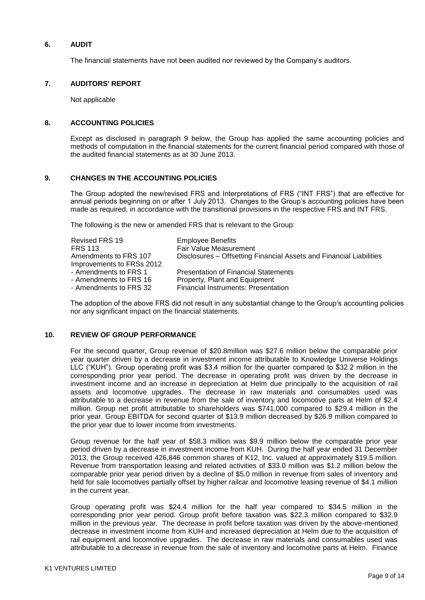### **6. AUDIT**

The financial statements have not been audited nor reviewed by the Company's auditors.

### **7. AUDITORS' REPORT**

Not applicable

### **8. ACCOUNTING POLICIES**

Except as disclosed in paragraph 9 below, the Group has applied the same accounting policies and methods of computation in the financial statements for the current financial period compared with those of the audited financial statements as at 30 June 2013.

### **9. CHANGES IN THE ACCOUNTING POLICIES**

The Group adopted the new/revised FRS and Interpretations of FRS ("INT FRS") that are effective for annual periods beginning on or after 1 July 2013. Changes to the Group's accounting policies have been made as required, in accordance with the transitional provisions in the respective FRS and INT FRS.

The following is the new or amended FRS that is relevant to the Group:

| Revised FRS 19<br><b>FRS 113</b><br>Amendments to FRS 107 | <b>Employee Benefits</b><br>Fair Value Measurement<br>Disclosures - Offsetting Financial Assets and Financial Liabilities |
|-----------------------------------------------------------|---------------------------------------------------------------------------------------------------------------------------|
| Improvements to FRSs 2012                                 |                                                                                                                           |
| - Amendments to FRS 1                                     | <b>Presentation of Financial Statements</b>                                                                               |
| - Amendments to FRS 16                                    | Property, Plant and Equipment                                                                                             |
| - Amendments to FRS 32                                    | <b>Financial Instruments: Presentation</b>                                                                                |

The adoption of the above FRS did not result in any substantial change to the Group's accounting policies nor any significant impact on the financial statements.

### **10. REVIEW OF GROUP PERFORMANCE**

For the second quarter, Group revenue of \$20.8million was \$27.6 million below the comparable prior year quarter driven by a decrease in investment income attributable to Knowledge Universe Holdings LLC ("KUH"). Group operating profit was \$3.4 million for the quarter compared to \$32.2 million in the corresponding prior year period. The decrease in operating profit was driven by the decrease in investment income and an increase in depreciation at Helm due principally to the acquisition of rail assets and locomotive upgrades. The decrease in raw materials and consumables used was attributable to a decrease in revenue from the sale of inventory and locomotive parts at Helm of \$2.4 million. Group net profit attributable to shareholders was \$741,000 compared to \$29.4 million in the prior year. Group EBITDA for second quarter of \$13.9 million decreased by \$26.9 million compared to the prior year due to lower income from investments.

Group revenue for the half year of \$58.3 million was \$9.9 million below the comparable prior year period driven by a decrease in investment income from KUH. During the half year ended 31 December 2013, the Group received 426,846 common shares of K12, Inc. valued at approximately \$19.5 million. Revenue from transportation leasing and related activities of \$33.0 million was \$1.2 million below the comparable prior year period driven by a decline of \$5.0 million in revenue from sales of inventory and held for sale locomotives partially offset by higher railcar and locomotive leasing revenue of \$4.1 million in the current year.

Group operating profit was \$24.4 million for the half year compared to \$34.5 million in the corresponding prior year period. Group profit before taxation was \$22.3 million compared to \$32.9 million in the previous year. The decrease in profit before taxation was driven by the above-mentioned decrease in investment income from KUH and increased depreciation at Helm due to the acquisition of rail equipment and locomotive upgrades. The decrease in raw materials and consumables used was attributable to a decrease in revenue from the sale of inventory and locomotive parts at Helm. Finance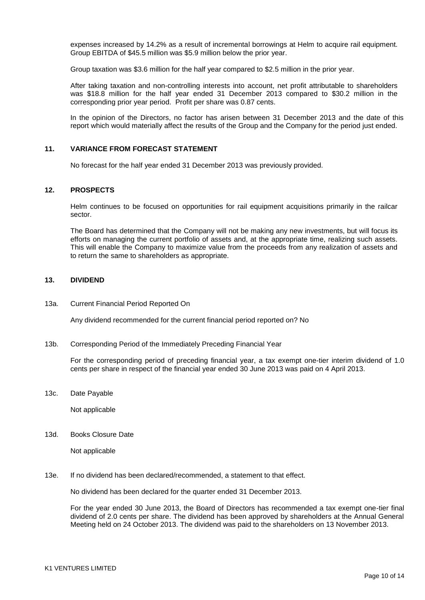expenses increased by 14.2% as a result of incremental borrowings at Helm to acquire rail equipment. Group EBITDA of \$45.5 million was \$5.9 million below the prior year.

Group taxation was \$3.6 million for the half year compared to \$2.5 million in the prior year.

After taking taxation and non-controlling interests into account, net profit attributable to shareholders was \$18.8 million for the half year ended 31 December 2013 compared to \$30.2 million in the corresponding prior year period. Profit per share was 0.87 cents.

In the opinion of the Directors, no factor has arisen between 31 December 2013 and the date of this report which would materially affect the results of the Group and the Company for the period just ended.

### **11. VARIANCE FROM FORECAST STATEMENT**

No forecast for the half year ended 31 December 2013 was previously provided.

#### **12. PROSPECTS**

Helm continues to be focused on opportunities for rail equipment acquisitions primarily in the railcar sector.

The Board has determined that the Company will not be making any new investments, but will focus its efforts on managing the current portfolio of assets and, at the appropriate time, realizing such assets. This will enable the Company to maximize value from the proceeds from any realization of assets and to return the same to shareholders as appropriate.

#### **13. DIVIDEND**

#### 13a. Current Financial Period Reported On

Any dividend recommended for the current financial period reported on? No

13b. Corresponding Period of the Immediately Preceding Financial Year

For the corresponding period of preceding financial year, a tax exempt one-tier interim dividend of 1.0 cents per share in respect of the financial year ended 30 June 2013 was paid on 4 April 2013.

13c. Date Payable

Not applicable

13d. Books Closure Date

Not applicable

13e. If no dividend has been declared/recommended, a statement to that effect.

No dividend has been declared for the quarter ended 31 December 2013.

For the year ended 30 June 2013, the Board of Directors has recommended a tax exempt one-tier final dividend of 2.0 cents per share. The dividend has been approved by shareholders at the Annual General Meeting held on 24 October 2013. The dividend was paid to the shareholders on 13 November 2013.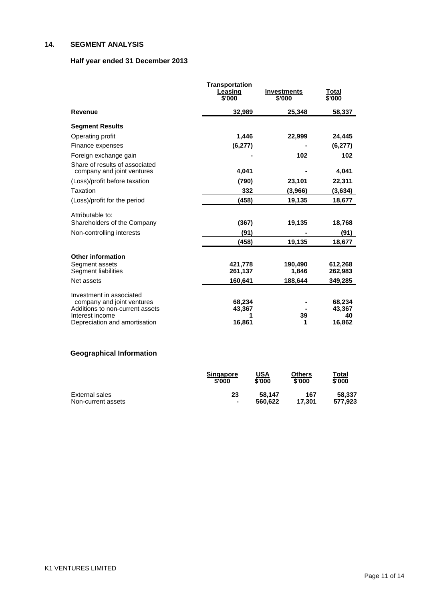# **14. SEGMENT ANALYSIS**

# **Half year ended 31 December 2013**

|                                                              | <b>Transportation</b><br>Leasing<br>\$'000 | <b>Investments</b><br>\$'000 | Total<br>\$'000 |
|--------------------------------------------------------------|--------------------------------------------|------------------------------|-----------------|
| <b>Revenue</b>                                               | 32,989                                     | 25,348                       | 58,337          |
| <b>Segment Results</b>                                       |                                            |                              |                 |
| Operating profit                                             | 1,446                                      | 22,999                       | 24,445          |
| Finance expenses                                             | (6, 277)                                   |                              | (6, 277)        |
| Foreign exchange gain                                        |                                            | 102                          | 102             |
| Share of results of associated<br>company and joint ventures | 4,041                                      |                              | 4,041           |
| (Loss)/profit before taxation                                | (790)                                      | 23,101                       | 22,311          |
| Taxation                                                     | 332                                        | (3,966)                      | (3,634)         |
| (Loss)/profit for the period                                 | (458)                                      | 19,135                       | 18,677          |
| Attributable to:                                             |                                            |                              |                 |
| Shareholders of the Company                                  | (367)                                      | 19,135                       | 18,768          |
| Non-controlling interests                                    | (91)                                       |                              | (91)            |
|                                                              | (458)                                      | 19,135                       | 18,677          |
| <b>Other information</b>                                     |                                            |                              |                 |
| Segment assets                                               | 421,778                                    | 190,490                      | 612,268         |
| Segment liabilities                                          | 261,137                                    | 1,846                        | 262,983         |
| Net assets                                                   | 160,641                                    | 188,644                      | 349,285         |
| Investment in associated                                     |                                            |                              |                 |
| company and joint ventures                                   | 68,234                                     |                              | 68,234          |
| Additions to non-current assets                              | 43,367                                     |                              | 43,367          |
| Interest income<br>Depreciation and amortisation             | 16,861                                     | 39<br>1                      | 40<br>16,862    |

# **Geographical Information**

|                    | <b>Singapore</b><br>\$'000 | USA<br>\$'000 | Others<br>\$'000 | Total<br>\$'000 |
|--------------------|----------------------------|---------------|------------------|-----------------|
| External sales     | 23                         | 58.147        | 167              | 58.337          |
| Non-current assets | $\blacksquare$             | 560.622       | 17.301           | 577.923         |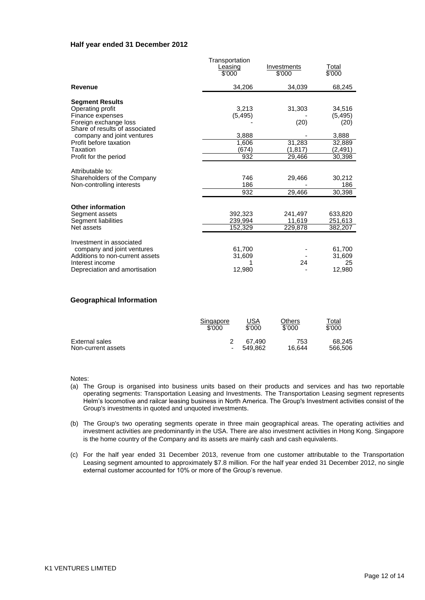### **Half year ended 31 December 2012**

| 34,206<br>34,039<br>68,245<br>Revenue<br><b>Segment Results</b><br>Operating profit<br>31,303<br>3,213<br>34,516<br>(5, 495)<br>Finance expenses<br>(5, 495)<br>Foreign exchange loss<br>(20)<br>(20)<br>Share of results of associated<br>company and joint ventures<br>3,888<br>3,888<br>31,283<br>Profit before taxation<br>1,606<br>32,889<br>Taxation<br>(674)<br>(1, 817)<br>(2,491)<br>932<br>Profit for the period<br>29,466<br>30,398<br>Attributable to:<br>746<br>Shareholders of the Company<br>29,466<br>30,212<br>186<br>186<br>Non-controlling interests<br>932<br>29,466<br>30,398<br><b>Other information</b><br>392,323<br>633,820<br>Segment assets<br>241,497<br>Segment liabilities<br>239,994<br>11,619<br>251,613<br>Net assets<br>152,329<br>229,878<br>382,207<br>Investment in associated<br>company and joint ventures<br>61,700<br>61,700<br>Additions to non-current assets<br>31,609<br>31,609<br>24<br>Interest income<br>25 |                               | Transportation<br>Leasing<br>\$'000 | Investments<br>\$'000 | Total<br>\$'000 |
|-------------------------------------------------------------------------------------------------------------------------------------------------------------------------------------------------------------------------------------------------------------------------------------------------------------------------------------------------------------------------------------------------------------------------------------------------------------------------------------------------------------------------------------------------------------------------------------------------------------------------------------------------------------------------------------------------------------------------------------------------------------------------------------------------------------------------------------------------------------------------------------------------------------------------------------------------------------|-------------------------------|-------------------------------------|-----------------------|-----------------|
|                                                                                                                                                                                                                                                                                                                                                                                                                                                                                                                                                                                                                                                                                                                                                                                                                                                                                                                                                             |                               |                                     |                       |                 |
|                                                                                                                                                                                                                                                                                                                                                                                                                                                                                                                                                                                                                                                                                                                                                                                                                                                                                                                                                             |                               |                                     |                       |                 |
|                                                                                                                                                                                                                                                                                                                                                                                                                                                                                                                                                                                                                                                                                                                                                                                                                                                                                                                                                             |                               |                                     |                       |                 |
|                                                                                                                                                                                                                                                                                                                                                                                                                                                                                                                                                                                                                                                                                                                                                                                                                                                                                                                                                             |                               |                                     |                       |                 |
|                                                                                                                                                                                                                                                                                                                                                                                                                                                                                                                                                                                                                                                                                                                                                                                                                                                                                                                                                             |                               |                                     |                       |                 |
|                                                                                                                                                                                                                                                                                                                                                                                                                                                                                                                                                                                                                                                                                                                                                                                                                                                                                                                                                             |                               |                                     |                       |                 |
|                                                                                                                                                                                                                                                                                                                                                                                                                                                                                                                                                                                                                                                                                                                                                                                                                                                                                                                                                             |                               |                                     |                       |                 |
|                                                                                                                                                                                                                                                                                                                                                                                                                                                                                                                                                                                                                                                                                                                                                                                                                                                                                                                                                             |                               |                                     |                       |                 |
|                                                                                                                                                                                                                                                                                                                                                                                                                                                                                                                                                                                                                                                                                                                                                                                                                                                                                                                                                             |                               |                                     |                       |                 |
|                                                                                                                                                                                                                                                                                                                                                                                                                                                                                                                                                                                                                                                                                                                                                                                                                                                                                                                                                             |                               |                                     |                       |                 |
|                                                                                                                                                                                                                                                                                                                                                                                                                                                                                                                                                                                                                                                                                                                                                                                                                                                                                                                                                             |                               |                                     |                       |                 |
|                                                                                                                                                                                                                                                                                                                                                                                                                                                                                                                                                                                                                                                                                                                                                                                                                                                                                                                                                             |                               |                                     |                       |                 |
|                                                                                                                                                                                                                                                                                                                                                                                                                                                                                                                                                                                                                                                                                                                                                                                                                                                                                                                                                             |                               |                                     |                       |                 |
|                                                                                                                                                                                                                                                                                                                                                                                                                                                                                                                                                                                                                                                                                                                                                                                                                                                                                                                                                             |                               |                                     |                       |                 |
|                                                                                                                                                                                                                                                                                                                                                                                                                                                                                                                                                                                                                                                                                                                                                                                                                                                                                                                                                             |                               |                                     |                       |                 |
|                                                                                                                                                                                                                                                                                                                                                                                                                                                                                                                                                                                                                                                                                                                                                                                                                                                                                                                                                             | Depreciation and amortisation | 12,980                              |                       | 12,980          |

### **Geographical Information**

|                    | Singapore | USA     | Others | Total   |
|--------------------|-----------|---------|--------|---------|
|                    | \$'000    | \$'000  | \$'000 | \$'000  |
| External sales     | ۰         | 67.490  | 753    | 68.245  |
| Non-current assets |           | 549.862 | 16.644 | 566,506 |

Notes:

- (a) The Group is organised into business units based on their products and services and has two reportable operating segments: Transportation Leasing and Investments. The Transportation Leasing segment represents Helm's locomotive and railcar leasing business in North America. The Group's Investment activities consist of the Group's investments in quoted and unquoted investments.
- (b) The Group's two operating segments operate in three main geographical areas. The operating activities and investment activities are predominantly in the USA. There are also investment activities in Hong Kong. Singapore is the home country of the Company and its assets are mainly cash and cash equivalents.
- (c) For the half year ended 31 December 2013, revenue from one customer attributable to the Transportation Leasing segment amounted to approximately \$7.8 million. For the half year ended 31 December 2012, no single external customer accounted for 10% or more of the Group's revenue.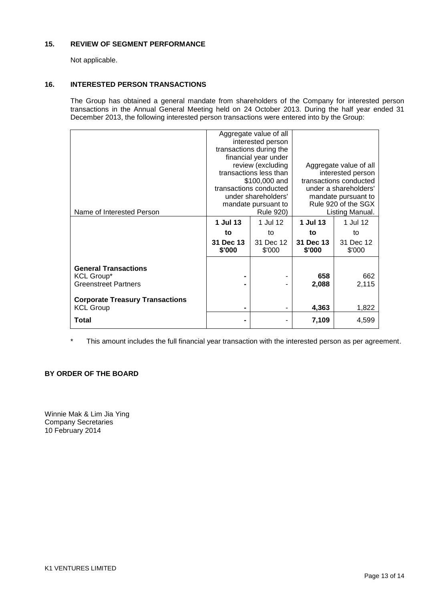### **15. REVIEW OF SEGMENT PERFORMANCE**

Not applicable.

### **16. INTERESTED PERSON TRANSACTIONS**

The Group has obtained a general mandate from shareholders of the Company for interested person transactions in the Annual General Meeting held on 24 October 2013. During the half year ended 31 December 2013, the following interested person transactions were entered into by the Group:

| Name of Interested Person                                  |                     | Aggregate value of all<br>interested person<br>transactions during the<br>financial year under<br>review (excluding<br>transactions less than<br>\$100,000 and<br>transactions conducted<br>under shareholders'<br>mandate pursuant to<br><b>Rule 920)</b> | Aggregate value of all<br>interested person<br>transactions conducted<br>under a shareholders'<br>mandate pursuant to<br>Rule 920 of the SGX<br>Listing Manual. |                     |  |
|------------------------------------------------------------|---------------------|------------------------------------------------------------------------------------------------------------------------------------------------------------------------------------------------------------------------------------------------------------|-----------------------------------------------------------------------------------------------------------------------------------------------------------------|---------------------|--|
|                                                            | 1 Jul 13            | 1 Jul 12                                                                                                                                                                                                                                                   | 1 Jul 13                                                                                                                                                        | 1 Jul 12            |  |
|                                                            | to                  | to                                                                                                                                                                                                                                                         | to                                                                                                                                                              | to                  |  |
|                                                            | 31 Dec 13<br>\$'000 | 31 Dec 12<br>\$'000                                                                                                                                                                                                                                        | 31 Dec 13<br>\$'000                                                                                                                                             | 31 Dec 12<br>\$'000 |  |
| <b>General Transactions</b>                                |                     |                                                                                                                                                                                                                                                            |                                                                                                                                                                 |                     |  |
| <b>KCL Group*</b><br><b>Greenstreet Partners</b>           |                     |                                                                                                                                                                                                                                                            | 658<br>2,088                                                                                                                                                    | 662<br>2,115        |  |
| <b>Corporate Treasury Transactions</b><br><b>KCL Group</b> | $\blacksquare$      |                                                                                                                                                                                                                                                            | 4,363                                                                                                                                                           | 1,822               |  |
| Total                                                      |                     |                                                                                                                                                                                                                                                            | 7,109                                                                                                                                                           | 4,599               |  |

\* This amount includes the full financial year transaction with the interested person as per agreement.

## **BY ORDER OF THE BOARD**

Winnie Mak & Lim Jia Ying Company Secretaries 10 February 2014